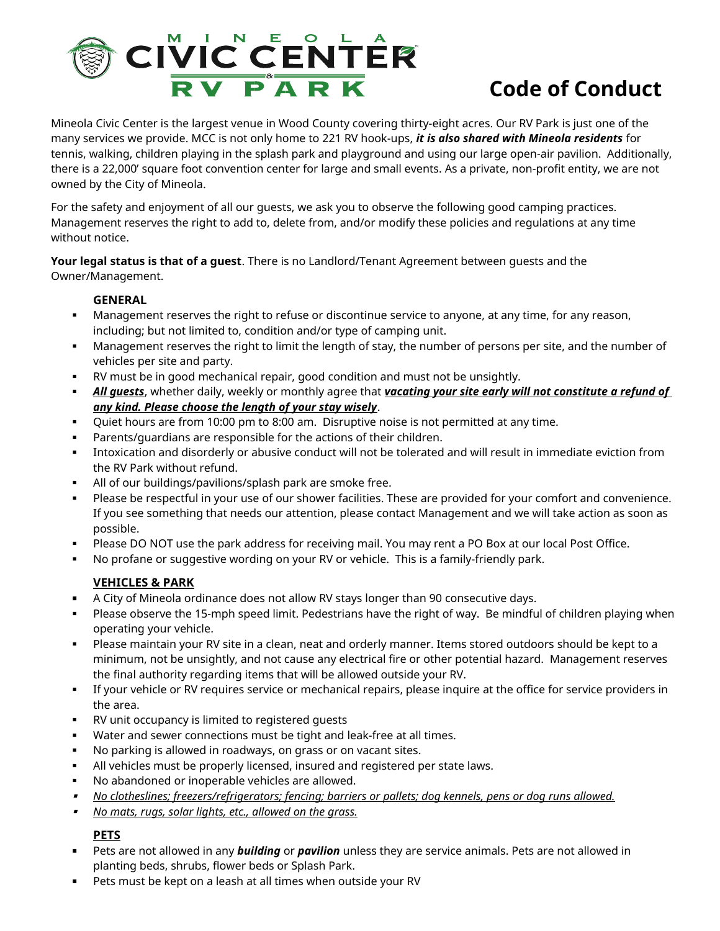

## **Code of Conduct**

Mineola Civic Center is the largest venue in Wood County covering thirty-eight acres. Our RV Park is just one of the many services we provide. MCC is not only home to 221 RV hook-ups, *it is also shared with Mineola residents* for tennis, walking, children playing in the splash park and playground and using our large open-air pavilion. Additionally, there is a 22,000' square foot convention center for large and small events. As a private, non-profit entity, we are not owned by the City of Mineola.

For the safety and enjoyment of all our guests, we ask you to observe the following good camping practices. Management reserves the right to add to, delete from, and/or modify these policies and regulations at any time without notice.

**Your legal status is that of a guest**. There is no Landlord/Tenant Agreement between guests and the Owner/Management.

## **GENERAL**

- Management reserves the right to refuse or discontinue service to anyone, at any time, for any reason, including; but not limited to, condition and/or type of camping unit.
- Management reserves the right to limit the length of stay, the number of persons per site, and the number of vehicles per site and party.
- RV must be in good mechanical repair, good condition and must not be unsightly.
- *All guests*, whether daily, weekly or monthly agree that *vacating your site early will not constitute a refund of any kind. Please choose the length of your stay wisely*.
- Quiet hours are from 10:00 pm to 8:00 am. Disruptive noise is not permitted at any time.
- Parents/guardians are responsible for the actions of their children.
- Intoxication and disorderly or abusive conduct will not be tolerated and will result in immediate eviction from the RV Park without refund.
- All of our buildings/pavilions/splash park are smoke free.
- Please be respectful in your use of our shower facilities. These are provided for your comfort and convenience. If you see something that needs our attention, please contact Management and we will take action as soon as possible.
- Please DO NOT use the park address for receiving mail. You may rent a PO Box at our local Post Office.
- No profane or suggestive wording on your RV or vehicle. This is a family-friendly park.

## **VEHICLES & PARK**

- A City of Mineola ordinance does not allow RV stays longer than 90 consecutive days.
- Please observe the 15-mph speed limit. Pedestrians have the right of way. Be mindful of children playing when operating your vehicle.
- Please maintain your RV site in a clean, neat and orderly manner. Items stored outdoors should be kept to a minimum, not be unsightly, and not cause any electrical fire or other potential hazard. Management reserves the final authority regarding items that will be allowed outside your RV.
- If your vehicle or RV requires service or mechanical repairs, please inquire at the office for service providers in the area.
- RV unit occupancy is limited to registered guests
- Water and sewer connections must be tight and leak-free at all times.
- No parking is allowed in roadways, on grass or on vacant sites.
- All vehicles must be properly licensed, insured and registered per state laws.
- No abandoned or inoperable vehicles are allowed.
- *No clotheslines; freezers/refrigerators; fencing; barriers or pallets; dog kennels, pens or dog runs allowed.*
- $\blacksquare$ *No mats, rugs, solar lights, etc., allowed on the grass.*

## **PETS**

- Pets are not allowed in any *building* or *pavilion* unless they are service animals. Pets are not allowed in planting beds, shrubs, flower beds or Splash Park.
- **Pets must be kept on a leash at all times when outside your RV**